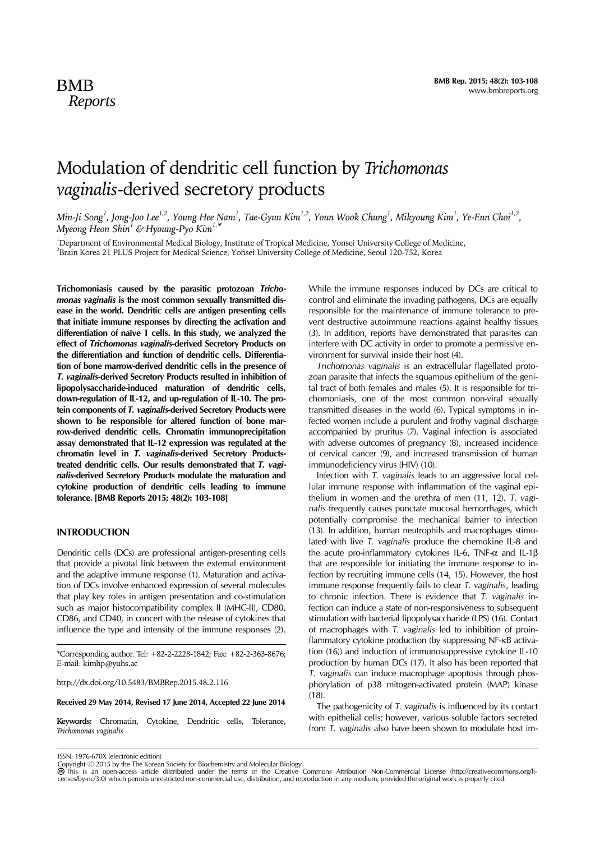# Modulation of dendritic cell function by *Trichomonas vaginalis*-derived secretory products

Min-Ji Song<sup>1</sup>, Jong-Joo Lee<sup>1,2</sup>, Young Hee Nam<sup>1</sup>, Tae-Gyun Kim<sup>1,2</sup>, Youn Wook Chung<sup>1</sup>, Mikyoung Kim<sup>1</sup>, Ye-Eun Choi<sup>1,2</sup>, *Myeong Heon Shin1 & Hyoung-Pyo Kim1,\**

<sup>1</sup>Department of Environmental Medical Biology, Institute of Tropical Medicine, Yonsei University College of Medicine, 2 Brain Korea 21 PLUS Project for Medical Science, Yonsei University College of Medicine, Seoul 120-752, Korea

**Trichomoniasis caused by the parasitic protozoan** *Trichomonas vaginalis* **is the most common sexually transmitted disease in the world. Dendritic cells are antigen presenting cells that initiate immune responses by directing the activation and differentiation of naïve T cells. In this study, we analyzed the effect of** *Trichomonas vaginalis***-derived Secretory Products on the differentiation and function of dendritic cells. Differentiation of bone marrow-derived dendritic cells in the presence of**  *T. vaginalis***-derived Secretory Products resulted in inhibition of lipopolysaccharide-induced maturation of dendritic cells, down-regulation of IL-12, and up-regulation of IL-10. The protein components of** *T. vaginalis***-derived Secretory Products were shown to be responsible for altered function of bone marrow-derived dendritic cells. Chromatin immunoprecipitation assay demonstrated that IL-12 expression was regulated at the chromatin level in** *T. vaginalis***-derived Secretory Productstreated dendritic cells. Our results demonstrated that** *T. vaginalis***-derived Secretory Products modulate the maturation and cytokine production of dendritic cells leading to immune tolerance. [BMB Reports 2015; 48(2): 103-108]**

#### **INTRODUCTION**

Dendritic cells (DCs) are professional antigen-presenting cells that provide a pivotal link between the external environment and the adaptive immune response (1). Maturation and activation of DCs involve enhanced expression of several molecules that play key roles in antigen presentation and co-stimulation such as major histocompatibility complex II (MHC-II), CD80, CD86, and CD40, in concert with the release of cytokines that influence the type and intensity of the immune responses (2).

\*Corresponding author. Tel: +82-2-2228-1842; Fax: +82-2-363-8676; E-mail: kimhp@yuhs.ac

http://dx.doi.org/10.5483/BMBRep.2015.48.2.116

**Received 29 May 2014, Revised 17 June 2014, Accepted 22 June 2014**

**Keywords:** Chromatin, Cytokine, Dendritic cells, Tolerance, *Trichomonas vaginalis*

While the immune responses induced by DCs are critical to control and eliminate the invading pathogens, DCs are equally responsible for the maintenance of immune tolerance to prevent destructive autoimmune reactions against healthy tissues (3). In addition, reports have demonstrated that parasites can interfere with DC activity in order to promote a permissive environment for survival inside their host (4).

*Trichomonas vaginalis* is an extracellular flagellated protozoan parasite that infects the squamous epithelium of the genital tract of both females and males (5). It is responsible for trichomoniasis, one of the most common non-viral sexually transmitted diseases in the world (6). Typical symptoms in infected women include a purulent and frothy vaginal discharge accompanied by pruritus (7). Vaginal infection is associated with adverse outcomes of pregnancy (8), increased incidence of cervical cancer (9), and increased transmission of human immunodeficiency virus (HIV) (10).

Infection with *T. vaginalis* leads to an aggressive local cellular immune response with inflammation of the vaginal epithelium in women and the urethra of men (11, 12). *T. vaginalis* frequently causes punctate mucosal hemorrhages, which potentially compromise the mechanical barrier to infection (13). In addition, human neutrophils and macrophages stimulated with live *T. vaginalis* produce the chemokine IL-8 and the acute pro-inflammatory cytokines IL-6, TNF-α and IL-1β that are responsible for initiating the immune response to infection by recruiting immune cells (14, 15). However, the host immune response frequently fails to clear *T. vaginalis*, leading to chronic infection. There is evidence that *T. vaginalis* infection can induce a state of non-responsiveness to subsequent stimulation with bacterial lipopolysaccharide (LPS) (16). Contact of macrophages with *T. vaginalis* led to inhibition of proinflammatory cytokine production (by suppressing NF-κB activation (16)) and induction of immunosuppressive cytokine IL-10 production by human DCs (17). It also has been reported that *T. vaginalis* can induce macrophage apoptosis through phosphorylation of p38 mitogen-activated protein (MAP) kinase (18).

The pathogenicity of *T. vaginalis* is influenced by its contact with epithelial cells; however, various soluble factors secreted from *T. vaginalis* also have been shown to modulate host im-

ISSN: 1976-670X (electronic edition)

Copyright © 2015 by the The Korean Society for Biochemistry and Molecular Biology<br>@ This is an open-access article distributed under the terms of the Creative Commons Attribution Non-Commercial License (http://creativecomm censes/by-nc/3.0) which permits unrestricted non-commercial use, distribution, and reproduction in any medium, provided the original work is properly cited.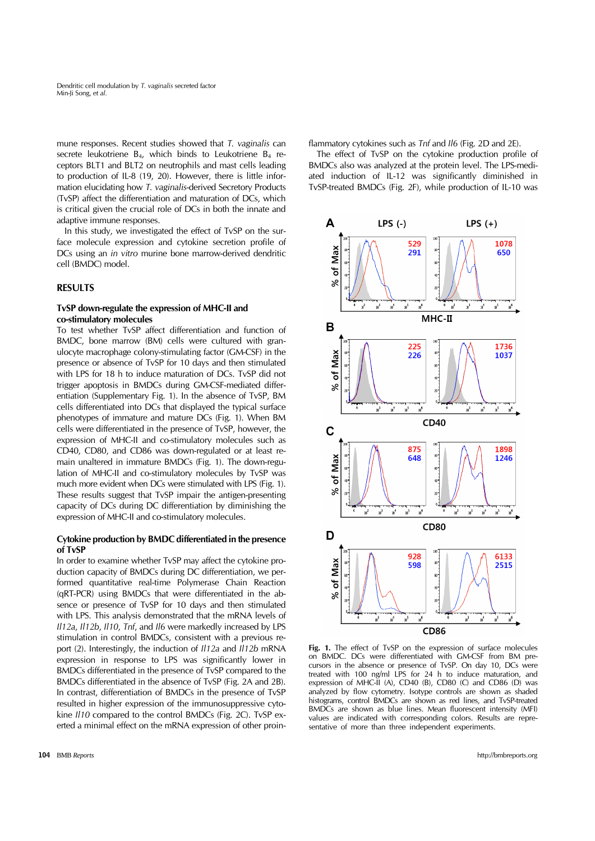mune responses. Recent studies showed that *T. vaginalis* can secrete leukotriene  $B_4$ , which binds to Leukotriene  $B_4$  receptors BLT1 and BLT2 on neutrophils and mast cells leading to production of IL-8 (19, 20). However, there is little information elucidating how *T. vaginalis*-derived Secretory Products (TvSP) affect the differentiation and maturation of DCs, which is critical given the crucial role of DCs in both the innate and adaptive immune responses.

In this study, we investigated the effect of TvSP on the surface molecule expression and cytokine secretion profile of DCs using an *in vitro* murine bone marrow-derived dendritic cell (BMDC) model.

## **RESULTS**

## **TvSP down-regulate the expression of MHC-II and co-stimulatory molecules**

To test whether TvSP affect differentiation and function of BMDC, bone marrow (BM) cells were cultured with granulocyte macrophage colony-stimulating factor (GM-CSF) in the presence or absence of TvSP for 10 days and then stimulated with LPS for 18 h to induce maturation of DCs. TvSP did not trigger apoptosis in BMDCs during GM-CSF-mediated differentiation (Supplementary Fig. 1). In the absence of TvSP, BM cells differentiated into DCs that displayed the typical surface phenotypes of immature and mature DCs (Fig. 1). When BM cells were differentiated in the presence of TvSP, however, the expression of MHC-II and co-stimulatory molecules such as CD40, CD80, and CD86 was down-regulated or at least remain unaltered in immature BMDCs (Fig. 1). The down-regulation of MHC-II and co-stimulatory molecules by TvSP was much more evident when DCs were stimulated with LPS (Fig. 1). These results suggest that TvSP impair the antigen-presenting capacity of DCs during DC differentiation by diminishing the expression of MHC-II and co-stimulatory molecules.

#### **Cytokine production by BMDC differentiated in the presence of TvSP**

In order to examine whether TvSP may affect the cytokine production capacity of BMDCs during DC differentiation, we performed quantitative real-time Polymerase Chain Reaction (qRT-PCR) using BMDCs that were differentiated in the absence or presence of TvSP for 10 days and then stimulated with LPS. This analysis demonstrated that the mRNA levels of *Il12a*, *Il12b*, *Il10*, *Tnf*, and *Il6* were markedly increased by LPS stimulation in control BMDCs, consistent with a previous report (2). Interestingly, the induction of *Il12a* and *Il12b* mRNA expression in response to LPS was significantly lower in BMDCs differentiated in the presence of TvSP compared to the BMDCs differentiated in the absence of TvSP (Fig. 2A and 2B). In contrast, differentiation of BMDCs in the presence of TvSP resulted in higher expression of the immunosuppressive cytokine *Il10* compared to the control BMDCs (Fig. 2C). TvSP exerted a minimal effect on the mRNA expression of other proinflammatory cytokines such as *Tnf* and *Il6* (Fig. 2D and 2E).

The effect of TvSP on the cytokine production profile of BMDCs also was analyzed at the protein level. The LPS-mediated induction of IL-12 was significantly diminished in TvSP-treated BMDCs (Fig. 2F), while production of IL-10 was



**Fig. 1.** The effect of TvSP on the expression of surface molecules on BMDC. DCs were differentiated with GM-CSF from BM precursors in the absence or presence of TvSP. On day 10, DCs were treated with 100 ng/ml LPS for 24 h to induce maturation, and expression of MHC-II (A), CD40 (B), CD80 (C) and CD86 (D) was analyzed by flow cytometry. Isotype controls are shown as shaded histograms, control BMDCs are shown as red lines, and TvSP-treated BMDCs are shown as blue lines. Mean fluorescent intensity (MFI) values are indicated with corresponding colors. Results are representative of more than three independent experiments.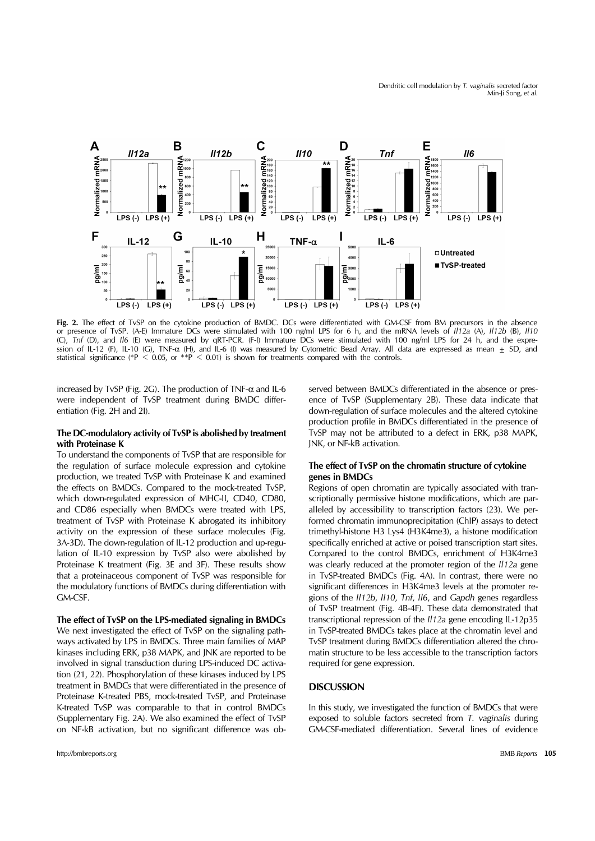

Fig. 2. The effect of TvSP on the cytokine production of BMDC. DCs were differentiated with GM-CSF from BM precursors in the absence or presence of TvSP. (A-E) Immature DCs were stimulated with 100 ng/ml LPS for 6 h, and the mRNA levels of *Il12a* (A), *Il12b* (B), *Il10* (C), *Tnf* (D), and *Il6* (E) were measured by qRT-PCR. (F-I) Immature DCs were stimulated with 100 ng/ml LPS for 24 h, and the expression of IL-12 (F), IL-10 (G), TNF-α (H), and IL-6 (I) was measured by Cytometric Bead Array. All data are expressed as mean  $\pm$  SD, and statistical significance (\*P < 0.05, or \*\*P < 0.01) is shown for treatments compared with the controls.

increased by TvSP (Fig. 2G). The production of TNF- $\alpha$  and IL-6 were independent of TvSP treatment during BMDC differentiation (Fig. 2H and 2I).

## **The DC-modulatory activity of TvSP is abolished by treatment with Proteinase K**

To understand the components of TvSP that are responsible for the regulation of surface molecule expression and cytokine production, we treated TvSP with Proteinase K and examined the effects on BMDCs. Compared to the mock-treated TvSP, which down-regulated expression of MHC-II, CD40, CD80, and CD86 especially when BMDCs were treated with LPS, treatment of TvSP with Proteinase K abrogated its inhibitory activity on the expression of these surface molecules (Fig. 3A-3D). The down-regulation of IL-12 production and up-regulation of IL-10 expression by TvSP also were abolished by Proteinase K treatment (Fig. 3E and 3F). These results show that a proteinaceous component of TvSP was responsible for the modulatory functions of BMDCs during differentiation with GM-CSF.

**The effect of TvSP on the LPS-mediated signaling in BMDCs** We next investigated the effect of TvSP on the signaling pathways activated by LPS in BMDCs. Three main families of MAP kinases including ERK, p38 MAPK, and JNK are reported to be involved in signal transduction during LPS-induced DC activation (21, 22). Phosphorylation of these kinases induced by LPS treatment in BMDCs that were differentiated in the presence of Proteinase K-treated PBS, mock-treated TvSP, and Proteinase K-treated TvSP was comparable to that in control BMDCs (Supplementary Fig. 2A). We also examined the effect of TvSP on NF-kB activation, but no significant difference was ob-

served between BMDCs differentiated in the absence or presence of TvSP (Supplementary 2B). These data indicate that down-regulation of surface molecules and the altered cytokine production profile in BMDCs differentiated in the presence of TvSP may not be attributed to a defect in ERK, p38 MAPK, JNK, or NF-kB activation.

# **The effect of TvSP on the chromatin structure of cytokine genes in BMDCs**

Regions of open chromatin are typically associated with transcriptionally permissive histone modifications, which are paralleled by accessibility to transcription factors (23). We performed chromatin immunoprecipitation (ChIP) assays to detect trimethyl-histone H3 Lys4 (H3K4me3), a histone modification specifically enriched at active or poised transcription start sites. Compared to the control BMDCs, enrichment of H3K4me3 was clearly reduced at the promoter region of the *Il12a* gene in TvSP-treated BMDCs (Fig. 4A). In contrast, there were no significant differences in H3K4me3 levels at the promoter regions of the *Il12b*, *Il10*, *Tnf*, *Il6*, and *Gapdh* genes regardless of TvSP treatment (Fig. 4B-4F). These data demonstrated that transcriptional repression of the *Il12a* gene encoding IL-12p35 in TvSP-treated BMDCs takes place at the chromatin level and TvSP treatment during BMDCs differentiation altered the chromatin structure to be less accessible to the transcription factors required for gene expression.

## **DISCUSSION**

In this study, we investigated the function of BMDCs that were exposed to soluble factors secreted from *T. vaginalis* during GM-CSF-mediated differentiation. Several lines of evidence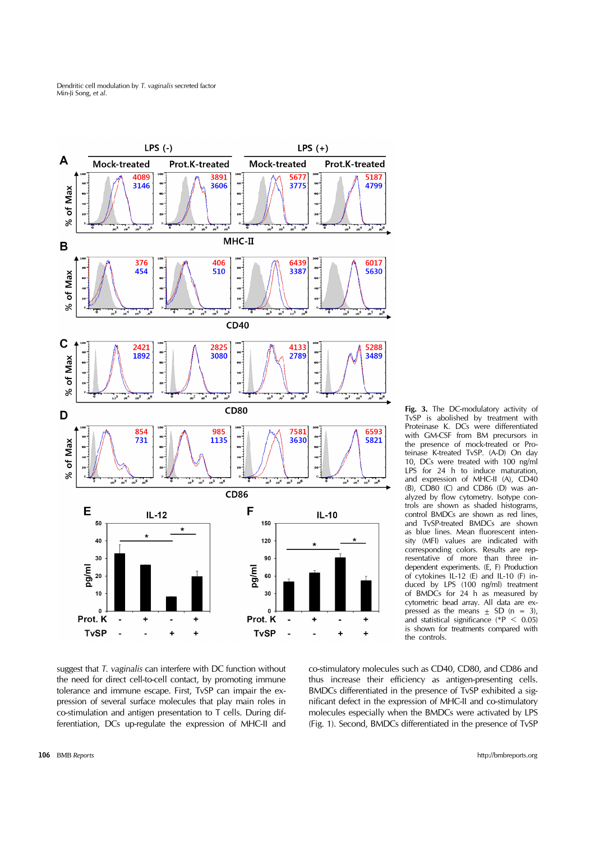

**Fig. 3.** The DC-modulatory activity of TvSP is abolished by treatment with Proteinase K. DCs were differentiated with GM-CSF from BM precursors in the presence of mock-treated or Proteinase K-treated TvSP. (A-D) On day 10, DCs were treated with 100 ng/ml LPS for 24 h to induce maturation, and expression of MHC-II (A), CD40 (B), CD80 (C) and CD86 (D) was analyzed by flow cytometry. Isotype controls are shown as shaded histograms, control BMDCs are shown as red lines, and TvSP-treated BMDCs are shown as blue lines. Mean fluorescent intensity (MFI) values are indicated with corresponding colors. Results are representative of more than three independent experiments. (E, F) Production of cytokines IL-12 (E) and IL-10 (F) induced by LPS (100 ng/ml) treatment of BMDCs for 24 h as measured by cytometric bead array. All data are expressed as the means  $\pm$  SD (n = 3), and statistical significance (\*P  $\leq$  0.05) is shown for treatments compared with the controls.

suggest that *T. vaginalis* can interfere with DC function without the need for direct cell-to-cell contact, by promoting immune tolerance and immune escape. First, TvSP can impair the expression of several surface molecules that play main roles in co-stimulation and antigen presentation to T cells. During differentiation, DCs up-regulate the expression of MHC-II and

co-stimulatory molecules such as CD40, CD80, and CD86 and thus increase their efficiency as antigen-presenting cells. BMDCs differentiated in the presence of TvSP exhibited a significant defect in the expression of MHC-II and co-stimulatory molecules especially when the BMDCs were activated by LPS (Fig. 1). Second, BMDCs differentiated in the presence of TvSP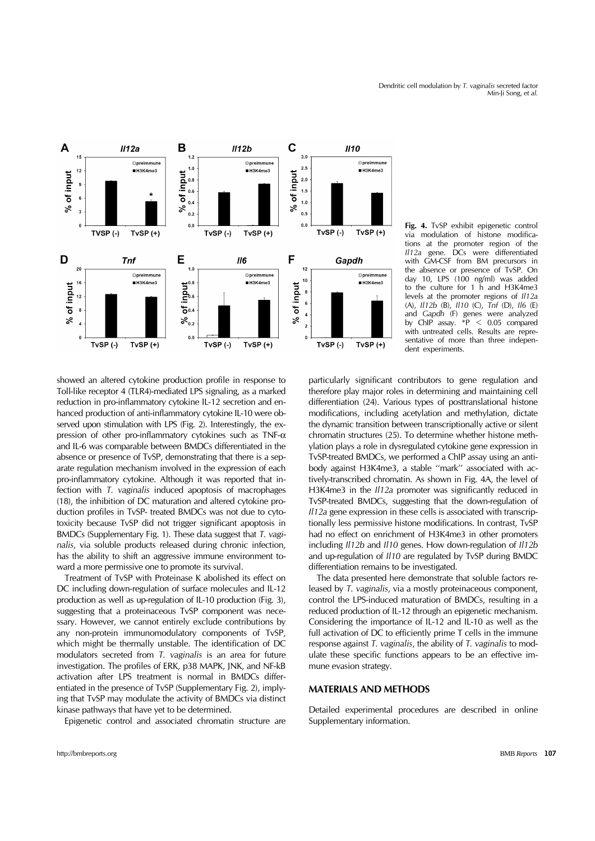

**Fig. 4.** TvSP exhibit epigenetic control via modulation of histone modifications at the promoter region of the *Il12a* gene. DCs were differentiated with GM-CSF from BM precursors in the absence or presence of TvSP. On day 10, LPS (100 ng/ml) was added to the culture for 1 h and H3K4me3 levels at the promoter regions of *Il12a* (A), *Il12b* (B), *Il10* (C), *Tnf* (D), *Il6* (E) and *Gapdh* (F) genes were analyzed<br>by ChIP assay. \*P < 0.05 compared  $\overline{PP}$  < 0.05 compared with untreated cells. Results are representative of more than three independent experiments.

showed an altered cytokine production profile in response to Toll-like receptor 4 (TLR4)-mediated LPS signaling, as a marked reduction in pro-inflammatory cytokine IL-12 secretion and enhanced production of anti-inflammatory cytokine IL-10 were observed upon stimulation with LPS (Fig. 2). Interestingly, the expression of other pro-inflammatory cytokines such as TNF- $\alpha$ and IL-6 was comparable between BMDCs differentiated in the absence or presence of TvSP, demonstrating that there is a separate regulation mechanism involved in the expression of each pro-inflammatory cytokine. Although it was reported that infection with *T. vaginalis* induced apoptosis of macrophages (18), the inhibition of DC maturation and altered cytokine production profiles in TvSP- treated BMDCs was not due to cytotoxicity because TvSP did not trigger significant apoptosis in BMDCs (Supplementary Fig. 1). These data suggest that *T. vaginalis*, via soluble products released during chronic infection, has the ability to shift an aggressive immune environment toward a more permissive one to promote its survival.

Treatment of TvSP with Proteinase K abolished its effect on DC including down-regulation of surface molecules and IL-12 production as well as up-regulation of IL-10 production (Fig. 3), suggesting that a proteinaceous TvSP component was necessary. However, we cannot entirely exclude contributions by any non-protein immunomodulatory components of TvSP, which might be thermally unstable. The identification of DC modulators secreted from *T. vaginalis* is an area for future investigation. The profiles of ERK, p38 MAPK, JNK, and NF-kB activation after LPS treatment is normal in BMDCs differentiated in the presence of TvSP (Supplementary Fig. 2), implying that TvSP may modulate the activity of BMDCs via distinct kinase pathways that have yet to be determined.

Epigenetic control and associated chromatin structure are

particularly significant contributors to gene regulation and therefore play major roles in determining and maintaining cell differentiation (24). Various types of posttranslational histone modifications, including acetylation and methylation, dictate the dynamic transition between transcriptionally active or silent chromatin structures (25). To determine whether histone methylation plays a role in dysregulated cytokine gene expression in TvSP-treated BMDCs, we performed a ChIP assay using an antibody against H3K4me3, a stable ''mark'' associated with actively-transcribed chromatin. As shown in Fig. 4A, the level of H3K4me3 in the *Il12a* promoter was significantly reduced in TvSP-treated BMDCs, suggesting that the down-regulation of *Il12a* gene expression in these cells is associated with transcriptionally less permissive histone modifications. In contrast, TvSP had no effect on enrichment of H3K4me3 in other promoters including *Il12b* and *Il10* genes. How down-regulation of *Il12b* and up-regulation of *Il10* are regulated by TvSP during BMDC differentiation remains to be investigated.

The data presented here demonstrate that soluble factors released by *T. vaginalis*, via a mostly proteinaceous component, control the LPS-induced maturation of BMDCs, resulting in a reduced production of IL-12 through an epigenetic mechanism. Considering the importance of IL-12 and IL-10 as well as the full activation of DC to efficiently prime T cells in the immune response against *T. vaginalis*, the ability of *T. vaginalis* to modulate these specific functions appears to be an effective immune evasion strategy.

## **MATERIALS AND METHODS**

Detailed experimental procedures are described in online Supplementary information.